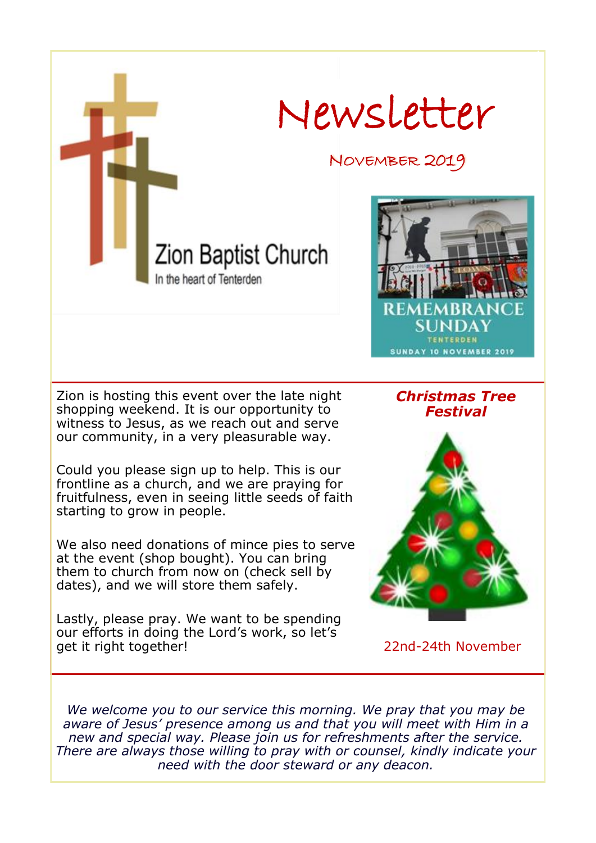

at the event (shop bought). You can bring them to church from now on (check sell by dates), and we will store them safely.

Lastly, please pray. We want to be spending our efforts in doing the Lord's work, so let's get it right together!

22nd-24th November

*We welcome you to our service this morning. We pray that you may be aware of Jesus' presence among us and that you will meet with Him in a new and special way. Please join us for refreshments after the service. There are always those willing to pray with or counsel, kindly indicate your need with the door steward or any deacon.*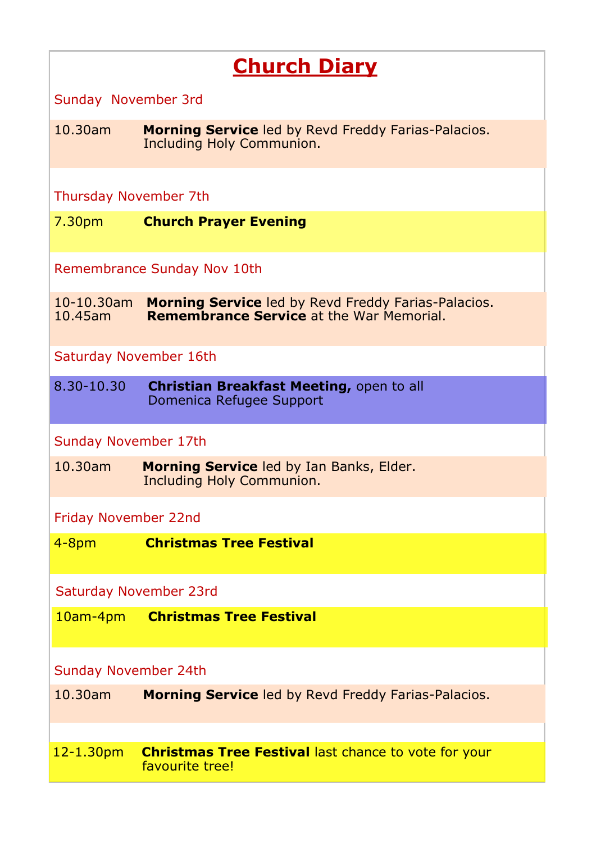# **Church Diary**

Sunday November 3rd

10.30am **Morning Service** led by Revd Freddy Farias-Palacios. Including Holy Communion.

Thursday November 7th

7.30pm **Church Prayer Evening**

Remembrance Sunday Nov 10th

10-10.30am **Morning Service** led by Revd Freddy Farias-Palacios. **Remembrance Service** at the War Memorial.

Saturday November 16th

8.30-10.30 **Christian Breakfast Meeting,** open to all Domenica Refugee Support

Sunday November 17th

10.30am **Morning Service** led by Ian Banks, Elder. Including Holy Communion.

Friday November 22nd

4-8pm **Christmas Tree Festival** 

Saturday November 23rd

10am-4pm **Christmas Tree Festival**

Sunday November 24th

10.30am **Morning Service** led by Revd Freddy Farias-Palacios.

12-1.30pm **Christmas Tree Festival** last chance to vote for your favourite tree!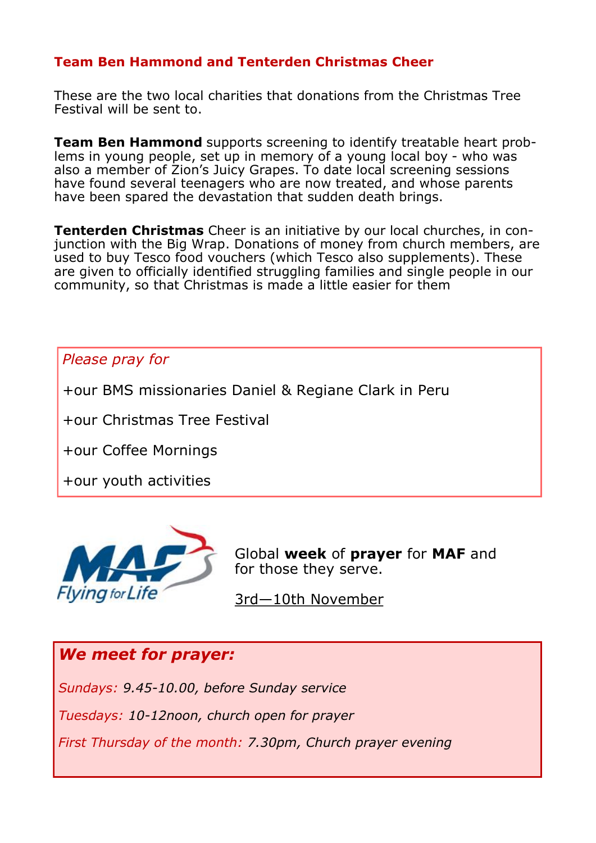#### **Team Ben Hammond and Tenterden Christmas Cheer**

These are the two local charities that donations from the Christmas Tree Festival will be sent to.

**Team Ben Hammond** supports screening to identify treatable heart problems in young people, set up in memory of a young local boy - who was also a member of Zion's Juicy Grapes. To date local screening sessions have found several teenagers who are now treated, and whose parents have been spared the devastation that sudden death brings.

**Tenterden Christmas** Cheer is an initiative by our local churches, in conjunction with the Big Wrap. Donations of money from church members, are used to buy Tesco food vouchers (which Tesco also supplements). These are given to officially identified struggling families and single people in our community, so that Christmas is made a little easier for them

*Please pray for*

+our BMS missionaries Daniel & Regiane Clark in Peru

+our Christmas Tree Festival

+our Coffee Mornings

+our youth activities



Global **week** of **prayer** for **MAF** and for those they serve.

3rd—10th November

## *We meet for prayer:*

*Sundays: 9.45-10.00, before Sunday service*

*Tuesdays: 10-12noon, church open for prayer*

*First Thursday of the month: 7.30pm, Church prayer evening*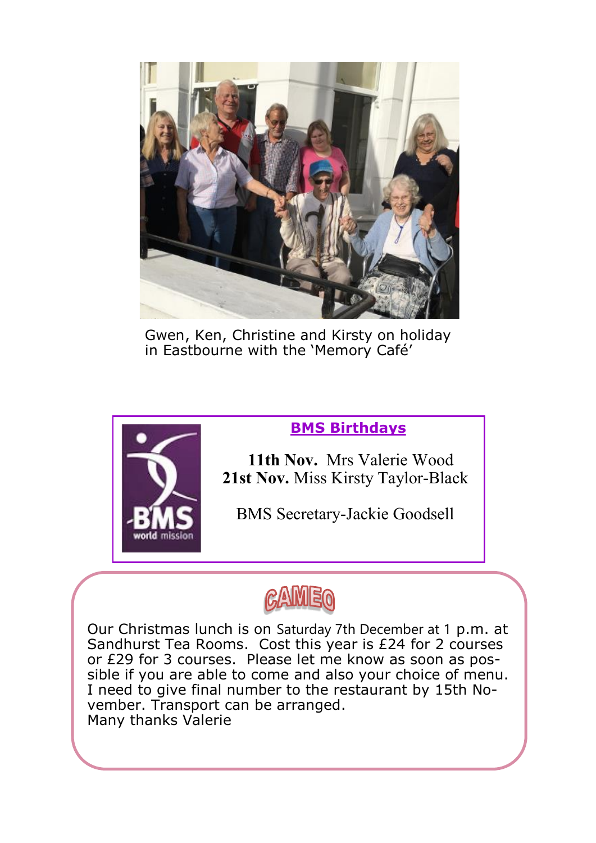

Gwen, Ken, Christine and Kirsty on holiday in Eastbourne with the 'Memory Café'



## **BMS Birthdays**

 **11th Nov.** Mrs Valerie Wood  **21st Nov.** Miss Kirsty Taylor-Black

BMS Secretary-Jackie Goodsell



Our Christmas lunch is on Saturday 7th December at 1 p.m. at Sandhurst Tea Rooms. Cost this year is £24 for 2 courses or £29 for 3 courses. Please let me know as soon as possible if you are able to come and also your choice of menu. I need to give final number to the restaurant by 15th November. Transport can be arranged. Many thanks Valerie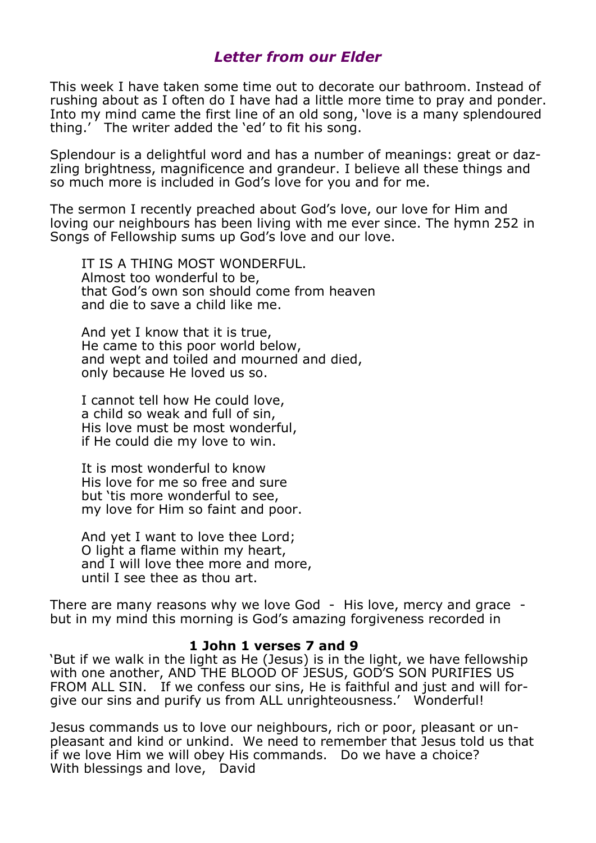#### *Letter from our Elder*

This week I have taken some time out to decorate our bathroom. Instead of rushing about as I often do I have had a little more time to pray and ponder. Into my mind came the first line of an old song, 'love is a many splendoured thing.' The writer added the 'ed' to fit his song.

Splendour is a delightful word and has a number of meanings: great or dazzling brightness, magnificence and grandeur. I believe all these things and so much more is included in God's love for you and for me.

The sermon I recently preached about God's love, our love for Him and loving our neighbours has been living with me ever since. The hymn 252 in Songs of Fellowship sums up God's love and our love.

 IT IS A THING MOST WONDERFUL. Almost too wonderful to be, that God's own son should come from heaven and die to save a child like me.

 And yet I know that it is true, He came to this poor world below, and wept and toiled and mourned and died, only because He loved us so.

 I cannot tell how He could love, a child so weak and full of sin, His love must be most wonderful, if He could die my love to win.

 It is most wonderful to know His love for me so free and sure but 'tis more wonderful to see, my love for Him so faint and poor.

 And yet I want to love thee Lord; O light a flame within my heart, and I will love thee more and more, until I see thee as thou art.

There are many reasons why we love God - His love, mercy and grace but in my mind this morning is God's amazing forgiveness recorded in

#### **1 John 1 verses 7 and 9**

'But if we walk in the light as He (Jesus) is in the light, we have fellowship with one another, AND THE BLOOD OF JESUS, GOD'S SON PURIFIES US FROM ALL SIN. If we confess our sins, He is faithful and just and will forgive our sins and purify us from ALL unrighteousness.' Wonderful!

Jesus commands us to love our neighbours, rich or poor, pleasant or unpleasant and kind or unkind. We need to remember that Jesus told us that if we love Him we will obey His commands. Do we have a choice? With blessings and love, David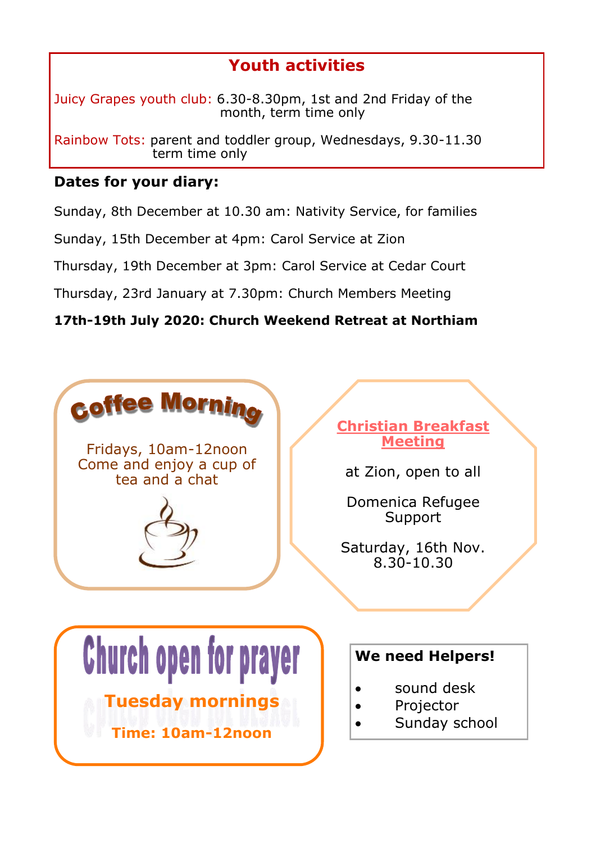# **Youth activities**

Juicy Grapes youth club: 6.30-8.30pm, 1st and 2nd Friday of the month, term time only

Rainbow Tots: parent and toddler group, Wednesdays, 9.30-11.30 term time only

#### **Dates for your diary:**

Sunday, 8th December at 10.30 am: Nativity Service, for families

Sunday, 15th December at 4pm: Carol Service at Zion

Thursday, 19th December at 3pm: Carol Service at Cedar Court

Thursday, 23rd January at 7.30pm: Church Members Meeting

**17th-19th July 2020: Church Weekend Retreat at Northiam**

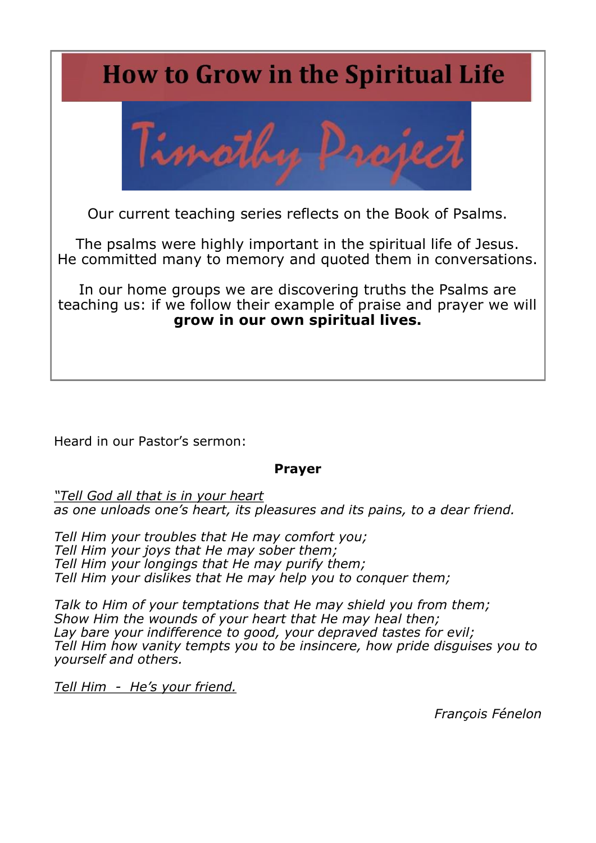# **How to Grow in the Spiritual Life**



Our current teaching series reflects on the Book of Psalms.

The psalms were highly important in the spiritual life of Jesus. He committed many to memory and quoted them in conversations.

In our home groups we are discovering truths the Psalms are teaching us: if we follow their example of praise and prayer we will **grow in our own spiritual lives.**

Heard in our Pastor's sermon:

#### **Prayer**

*"Tell God all that is in your heart as one unloads one's heart, its pleasures and its pains, to a dear friend.*

*Tell Him your troubles that He may comfort you; Tell Him your joys that He may sober them; Tell Him your longings that He may purify them; Tell Him your dislikes that He may help you to conquer them;*

*Talk to Him of your temptations that He may shield you from them; Show Him the wounds of your heart that He may heal then; Lay bare your indifference to good, your depraved tastes for evil; Tell Him how vanity tempts you to be insincere, how pride disguises you to yourself and others.*

*Tell Him - He's your friend.*

*François Fénelon*